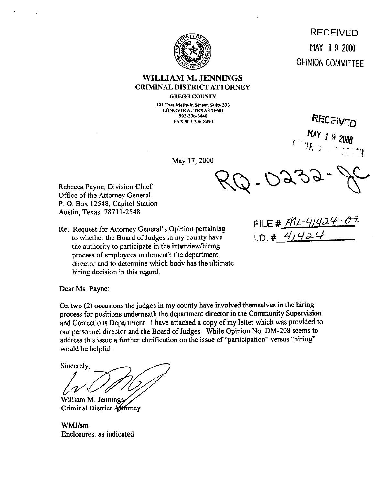

## **WILLIAM M. JENNINGS**  CRIMINAL DISTRICT ATTORNEY

**GREGG COUNTY** 

**101 East Methvin Street, Suite 333 LONGVIEW, TEXAS 75601 903-236-0440 FAX 903-236-8490** 

May 17,200O

Rebecca Payne, Division Chief Office of the Attornev General P. 0. Box 12548, Capitol Station Austin, Texas 7871 l-2548

Re: Request for Attorney General's Opinion pertaining to whether the Board of Judges in my county have  $1.5 \cdot \frac{4}{1.5} + \frac{4}{1.4}$ the authority to participate in the interview/hiring process of employees underneath the department director and to determine which body has the ultimate hiring decision in this regard.

FILE #  $M1 - 41424 - 02$ 

Dear Ms. Payne:

On two (2) occasions the judges in my county have involved themselves in the hiring process for positions underneath the department director in the Community Supervision and Corrections Department. I have attached a copy of my letter which was provided to **our** personnel director and the Board of Judges, While Opinion No. DM-208 seems to address this issue a further clarification on the issue of "participation" versus "hiring" would be helpful.

Sincerely.

William M. Jennings Criminal District Attorney

WMJ/sm Enclosures: as indicated

MAY 19 2000 **OPINION COMMITTEE** 

RECEIVED

47 *1* 9 2000

RECEIVED